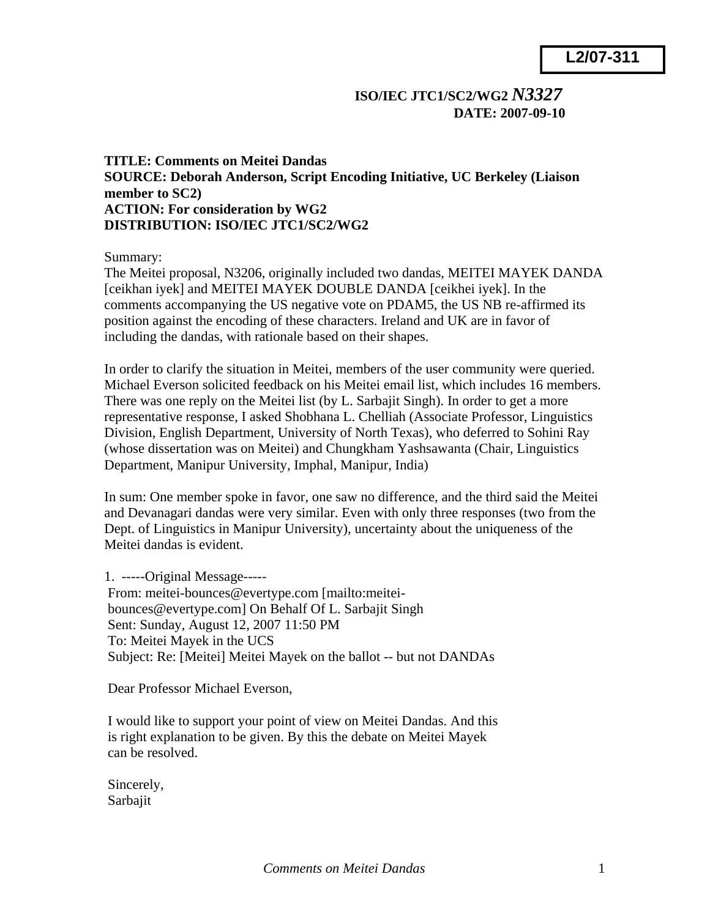## **ISO/IEC JTC1/SC2/WG2** *N3327* **DATE: 2007-09-10**

## **TITLE: Comments on Meitei Dandas SOURCE: Deborah Anderson, Script Encoding Initiative, UC Berkeley (Liaison member to SC2) ACTION: For consideration by WG2 DISTRIBUTION: ISO/IEC JTC1/SC2/WG2**

Summary:

The Meitei proposal, N3206, originally included two dandas, MEITEI MAYEK DANDA [ceikhan iyek] and MEITEI MAYEK DOUBLE DANDA [ceikhei iyek]. In the comments accompanying the US negative vote on PDAM5, the US NB re-affirmed its position against the encoding of these characters. Ireland and UK are in favor of including the dandas, with rationale based on their shapes.

In order to clarify the situation in Meitei, members of the user community were queried. Michael Everson solicited feedback on his Meitei email list, which includes 16 members. There was one reply on the Meitei list (by L. Sarbajit Singh). In order to get a more representative response, I asked Shobhana L. Chelliah (Associate Professor, Linguistics Division, English Department, University of North Texas), who deferred to Sohini Ray (whose dissertation was on Meitei) and Chungkham Yashsawanta (Chair, Linguistics Department, Manipur University, Imphal, Manipur, India)

In sum: One member spoke in favor, one saw no difference, and the third said the Meitei and Devanagari dandas were very similar. Even with only three responses (two from the Dept. of Linguistics in Manipur University), uncertainty about the uniqueness of the Meitei dandas is evident.

1. -----Original Message----- From: meitei-bounces@evertype.com [mailto:meitei bounces@evertype.com] On Behalf Of L. Sarbajit Singh Sent: Sunday, August 12, 2007 11:50 PM To: Meitei Mayek in the UCS Subject: Re: [Meitei] Meitei Mayek on the ballot -- but not DANDAs

Dear Professor Michael Everson,

 I would like to support your point of view on Meitei Dandas. And this is right explanation to be given. By this the debate on Meitei Mayek can be resolved.

 Sincerely, Sarbajit